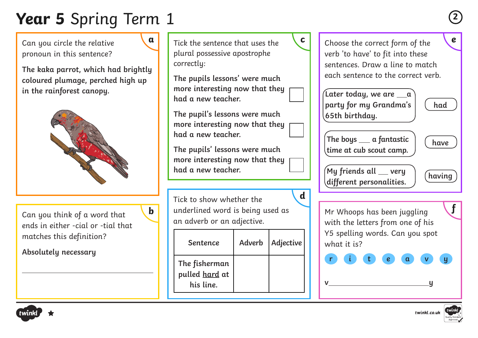# **Year 5** Spring Term 1 **<sup>2</sup>**

Can you circle the relative pronoun in this sentence?

**The kaka parrot, which had brightly coloured plumage, perched high up in the rainforest canopy.**



Can you think of a word that ends in either -cial or -tial that matches this definition?

**Absolutely necessary**



**a** Tick the sentence that uses the **c c c c c** choose the correct form of the **c** plural possessive apostrophe correctly:

**The pupils lessons' were much more interesting now that they had a new teacher.** 

**The pupil's lessons were much more interesting now that they had a new teacher.** 

**The pupils' lessons were much more interesting now that they had a new teacher.**

Tick to show whether the an adverb or an adjective. **d**

| <b>Sentence</b>                                     | Adverb   Adjective |
|-----------------------------------------------------|--------------------|
| The fisherman<br>pulled <u>hard</u> at<br>his line. |                    |



Y5 spelling words. Can you spot what it is?

**r i t e a v y**

**v y**



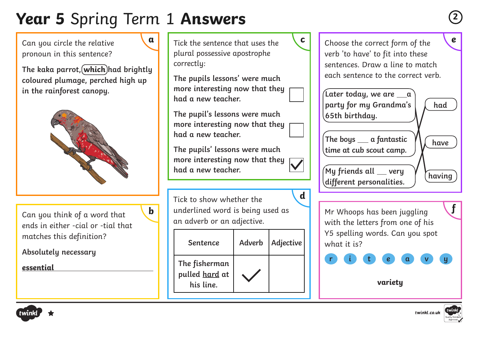### **Year 5** Spring Term 1 **Answers <sup>2</sup>**

Can you circle the relative pronoun in this sentence?

**The kaka parrot, which had brightly coloured plumage, perched high up in the rainforest canopy.**



Can you think of a word that ends in either -cial or -tial that matches this definition?

**Absolutely necessary**

**essential**



**The pupils lessons' were much more interesting now that they had a new teacher.** 

**The pupil's lessons were much more interesting now that they had a new teacher.** 

**The pupils' lessons were much more interesting now that they had a new teacher.**

Tick to show whether the **h** underlined word is being used as **of the UK of the Mr Whoops has been juggling <b>the state** an adverb or an adjective.

**d**

| Sentence                                            | Adverb | Adjective |
|-----------------------------------------------------|--------|-----------|
| The fisherman<br>pulled <u>hard</u> at<br>his line. |        |           |

Choose the correct form of the verb 'to have' to fit into these sentences. Draw a line to match each sentence to the correct verb.

| Later today, we are $\rule{1em}{0.15mm}$ $\,$<br>party for my Grandma's<br>65th birthday. | had    |
|-------------------------------------------------------------------------------------------|--------|
| The boys _ a fantastic<br>time at cub scout camp.                                         | have   |
| My friends all __ very<br>different personalities.                                        | having |

Mr Whoops has been juggling with the letters from one of his Y5 spelling words. Can you spot what it is?



**variety**



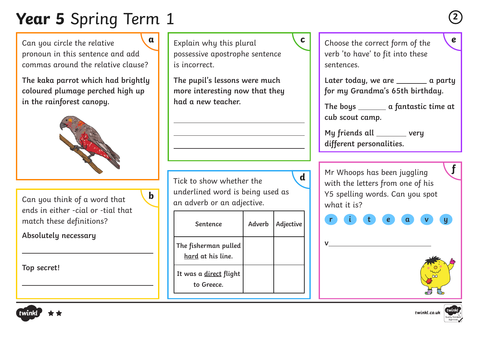# **Year 5** Spring Term 1 **<sup>2</sup>**

Can you circle the relative pronoun in this sentence and add commas around the relative clause?

**The kaka parrot which had brightly coloured plumage perched high up in the rainforest canopy.**



**b**

Can you think of a word that ends in either -cial or -tial that match these definitions?

**Absolutely necessary** 

**Top secret!** 

Explain why this plural possessive apostrophe sentence is incorrect.

**The pupil's lessons were much more interesting now that they had a new teacher.** 

Tick to show whether the underlined word is being used as an adverb or an adjective.

| Sentence                                  | Adverb | Adjective |
|-------------------------------------------|--------|-----------|
| The fisherman pulled<br>hard at his line. |        |           |
| It was a direct flight<br>to Greece.      |        |           |

Choose the correct form of the **a c e** verb 'to have' to fit into these sentences.

> Later today, we are \_\_\_\_\_\_\_\_\_ a party **for my Grandma's 65th birthday.**

> The boys \_\_\_\_\_\_\_\_\_ a fantastic time at **cub scout camp.**

My friends all \_\_\_\_\_\_\_ very **different personalities.** 

Mr Whoops has been juggling with the letters from one of his Y5 spelling words. Can you spot what it is?  $\overline{\mathbf{d}}$  **Mr** Whoops has been juggling  $\mathbf{f}$ 

**r i t e a v y**

**v** 



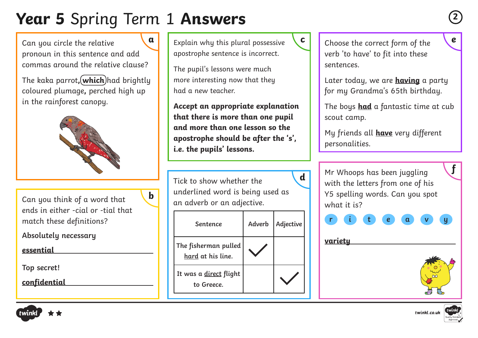# **Year 5** Spring Term 1 **Answers <sup>2</sup>**

Can you circle the relative pronoun in this sentence and add commas around the relative clause?

The kaka parrot, (which) had brightly coloured plumage**,** perched high up in the rainforest canopy.



Can you think of a word that ends in either -cial or -tial that match these definitions?

**Absolutely necessary** 

**essential** 

**Top secret!** 

**confidential**

**b**

Explain why this plural possessive **a c e** apostrophe sentence is incorrect.

The pupil's lessons were much more interesting now that they had a new teacher.

**Accept an appropriate explanation that there is more than one pupil and more than one lesson so the apostrophe should be after the 's', i.e. the pupils' lessons.**

Tick to show whether the underlined word is being used as an adverb or an adjective.

| Sentence                                  | Adverb | Adjective |
|-------------------------------------------|--------|-----------|
| The fisherman pulled<br>hard at his line. |        |           |
| It was a direct flight<br>to Greece.      |        |           |

Choose the correct form of the verb 'to have' to fit into these sentences.

Later today, we are **having** a party for my Grandma's 65th birthday.

The boys **had** a fantastic time at cub scout camp.

My friends all **have** very different personalities.

Mr Whoops has been juggling with the letters from one of his Y5 spelling words. Can you spot what it is?  $\overline{\mathbf{d}}$  **Mr** Whoops has been juggling  $\mathbf{f}$ 



**variety**





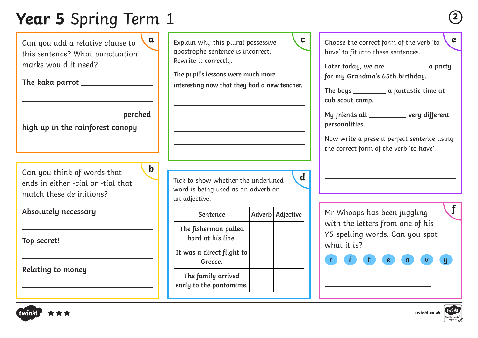### **Year 5** Spring Term 1 **<sup>2</sup>**

Can you add a relative clause to this sentence? What punctuation marks would it need?

**The kaka parrot** 

| perched |
|---------|
|         |

**b**

**high up in the rainforest canopy**

Can you think of words that ends in either -cial or -tial that match these definitions?

**Absolutely necessary**

**Top secret!** 

**Relating to money**

Explain why this plural possessive apostrophe sentence is incorrect. Rewrite it correctly.

**The pupil's lessons were much more interesting now that they had a new teacher.** 

Tick to show whether the underlined word is being used as an adverb or an adjective.

| <b>Sentence</b>                               | Adverb   Adjective |
|-----------------------------------------------|--------------------|
| The fisherman pulled<br>hard at his line.     |                    |
| It was a direct flight to<br>Greece.          |                    |
| The family arrived<br>early to the pantomime. |                    |

**a b** Explain why this plural possessive **c c c** Choose the correct form of the verb 'to **c** have' to fit into these sentences.

> Later today, we are \_\_\_\_\_\_\_\_\_\_\_\_\_\_\_ a party **for my Grandma's 65th birthday.**

**The boys a fantastic time at cub scout camp.**

My friends all **with the UV** very different **personalities.** 

Now write a present perfect sentence using the correct form of the verb 'to have'.

Mr Whoops has been juggling with the letters from one of his Y5 spelling words. Can you spot what it is?

**r i t e a v y**

**d**



**f**